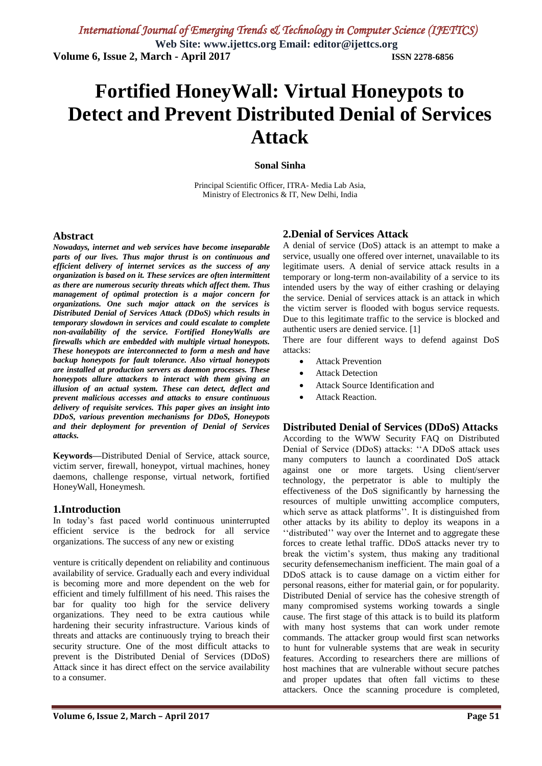# **Fortified HoneyWall: Virtual Honeypots to Detect and Prevent Distributed Denial of Services Attack**

#### **Sonal Sinha**

Principal Scientific Officer, ITRA- Media Lab Asia, Ministry of Electronics & IT, New Delhi, India

#### **Abstract**

*Nowadays, internet and web services have become inseparable parts of our lives. Thus major thrust is on continuous and efficient delivery of internet services as the success of any organization is based on it. These services are often intermittent as there are numerous security threats which affect them. Thus management of optimal protection is a major concern for organizations. One such major attack on the services is Distributed Denial of Services Attack (DDoS) which results in temporary slowdown in services and could escalate to complete non-availability of the service. Fortified HoneyWalls are firewalls which are embedded with multiple virtual honeypots. These honeypots are interconnected to form a mesh and have backup honeypots for fault tolerance. Also virtual honeypots are installed at production servers as daemon processes. These honeypots allure attackers to interact with them giving an illusion of an actual system. These can detect, deflect and prevent malicious accesses and attacks to ensure continuous delivery of requisite services. This paper gives an insight into DDoS, various prevention mechanisms for DDoS, Honeypots and their deployment for prevention of Denial of Services attacks.*

**Keywords—**Distributed Denial of Service, attack source, victim server, firewall, honeypot, virtual machines, honey daemons, challenge response, virtual network, fortified HoneyWall, Honeymesh.

#### **1.Introduction**

In today"s fast paced world continuous uninterrupted efficient service is the bedrock for all service organizations. The success of any new or existing

venture is critically dependent on reliability and continuous availability of service. Gradually each and every individual is becoming more and more dependent on the web for efficient and timely fulfillment of his need. This raises the bar for quality too high for the service delivery organizations. They need to be extra cautious while hardening their security infrastructure. Various kinds of threats and attacks are continuously trying to breach their security structure. One of the most difficult attacks to prevent is the Distributed Denial of Services (DDoS) Attack since it has direct effect on the service availability to a consumer.

### **2.Denial of Services Attack**

A denial of service (DoS) attack is an attempt to make a service, usually one offered over internet, unavailable to its legitimate users. A denial of service attack results in a temporary or long-term non-availability of a service to its intended users by the way of either crashing or delaying the service. Denial of services attack is an attack in which the victim server is flooded with bogus service requests. Due to this legitimate traffic to the service is blocked and authentic users are denied service. [1]

There are four different ways to defend against DoS attacks:

- Attack Prevention
- **•** Attack Detection
- Attack Source Identification and
- Attack Reaction.

#### **Distributed Denial of Services (DDoS) Attacks**

According to the WWW Security FAQ on Distributed Denial of Service (DDoS) attacks: "A DDoS attack uses many computers to launch a coordinated DoS attack against one or more targets. Using client/server technology, the perpetrator is able to multiply the effectiveness of the DoS significantly by harnessing the resources of multiple unwitting accomplice computers, which serve as attack platforms". It is distinguished from other attacks by its ability to deploy its weapons in a "distributed" way over the Internet and to aggregate these forces to create lethal traffic. DDoS attacks never try to break the victim"s system, thus making any traditional security defensemechanism inefficient. The main goal of a DDoS attack is to cause damage on a victim either for personal reasons, either for material gain, or for popularity. Distributed Denial of service has the cohesive strength of many compromised systems working towards a single cause. The first stage of this attack is to build its platform with many host systems that can work under remote commands. The attacker group would first scan networks to hunt for vulnerable systems that are weak in security features. According to researchers there are millions of host machines that are vulnerable without secure patches and proper updates that often fall victims to these attackers. Once the scanning procedure is completed,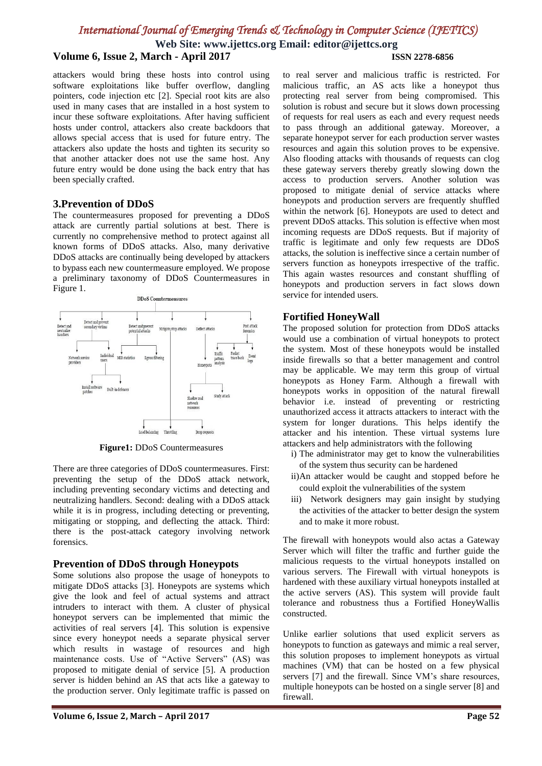## *International Journal of Emerging Trends & Technology in Computer Science (IJETTCS)*

**Web Site: www.ijettcs.org Email: editor@ijettcs.org**

## **Volume 6, Issue 2, March - April 2017 ISSN 2278-6856**

attackers would bring these hosts into control using software exploitations like buffer overflow, dangling pointers, code injection etc [2]. Special root kits are also used in many cases that are installed in a host system to incur these software exploitations. After having sufficient hosts under control, attackers also create backdoors that allows special access that is used for future entry. The attackers also update the hosts and tighten its security so that another attacker does not use the same host. Any future entry would be done using the back entry that has been specially crafted.

#### **3.Prevention of DDoS**

The countermeasures proposed for preventing a DDoS attack are currently partial solutions at best. There is currently no comprehensive method to protect against all known forms of DDoS attacks. Also, many derivative DDoS attacks are continually being developed by attackers to bypass each new countermeasure employed. We propose a preliminary taxonomy of DDoS Countermeasures in Figure 1.



**Figure1:** DDoS Countermeasures

There are three categories of DDoS countermeasures. First: preventing the setup of the DDoS attack network, including preventing secondary victims and detecting and neutralizing handlers. Second: dealing with a DDoS attack while it is in progress, including detecting or preventing, mitigating or stopping, and deflecting the attack. Third: there is the post-attack category involving network forensics.

#### **Prevention of DDoS through Honeypots**

Some solutions also propose the usage of honeypots to mitigate DDoS attacks [3]. Honeypots are systems which give the look and feel of actual systems and attract intruders to interact with them. A cluster of physical honeypot servers can be implemented that mimic the activities of real servers [4]. This solution is expensive since every honeypot needs a separate physical server which results in wastage of resources and high maintenance costs. Use of "Active Servers" (AS) was proposed to mitigate denial of service [5]. A production server is hidden behind an AS that acts like a gateway to the production server. Only legitimate traffic is passed on

to real server and malicious traffic is restricted. For malicious traffic, an AS acts like a honeypot thus protecting real server from being compromised. This solution is robust and secure but it slows down processing of requests for real users as each and every request needs to pass through an additional gateway. Moreover, a separate honeypot server for each production server wastes resources and again this solution proves to be expensive. Also flooding attacks with thousands of requests can clog these gateway servers thereby greatly slowing down the access to production servers. Another solution was proposed to mitigate denial of service attacks where honeypots and production servers are frequently shuffled within the network [6]. Honeypots are used to detect and prevent DDoS attacks. This solution is effective when most incoming requests are DDoS requests. But if majority of traffic is legitimate and only few requests are DDoS attacks, the solution is ineffective since a certain number of servers function as honeypots irrespective of the traffic. This again wastes resources and constant shuffling of honeypots and production servers in fact slows down service for intended users.

#### **Fortified HoneyWall**

The proposed solution for protection from DDoS attacks would use a combination of virtual honeypots to protect the system. Most of these honeypots would be installed inside firewalls so that a better management and control may be applicable. We may term this group of virtual honeypots as Honey Farm. Although a firewall with honeypots works in opposition of the natural firewall behavior i.e. instead of preventing or restricting unauthorized access it attracts attackers to interact with the system for longer durations. This helps identify the attacker and his intention. These virtual systems lure attackers and help administrators with the following

- i) The administrator may get to know the vulnerabilities of the system thus security can be hardened
- ii)An attacker would be caught and stopped before he could exploit the vulnerabilities of the system
- iii) Network designers may gain insight by studying the activities of the attacker to better design the system and to make it more robust.

The firewall with honeypots would also actas a Gateway Server which will filter the traffic and further guide the malicious requests to the virtual honeypots installed on various servers. The Firewall with virtual honeypots is hardened with these auxiliary virtual honeypots installed at the active servers (AS). This system will provide fault tolerance and robustness thus a Fortified HoneyWallis constructed.

Unlike earlier solutions that used explicit servers as honeypots to function as gateways and mimic a real server, this solution proposes to implement honeypots as virtual machines (VM) that can be hosted on a few physical servers [7] and the firewall. Since VM's share resources, multiple honeypots can be hosted on a single server [8] and firewall.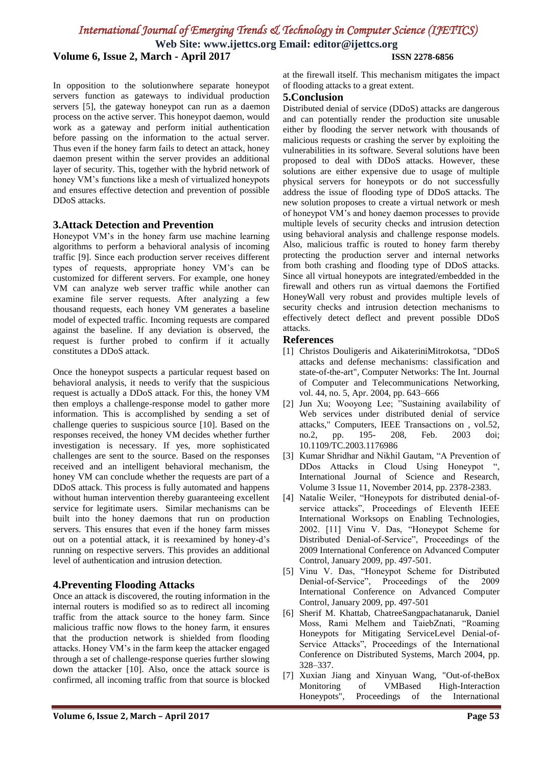## *International Journal of Emerging Trends & Technology in Computer Science (IJETTCS)*

**Web Site: www.ijettcs.org Email: editor@ijettcs.org Volume 6, Issue 2, March - April 2017 ISSN 2278-6856**

In opposition to the solutionwhere separate honeypot servers function as gateways to individual production servers [5], the gateway honeypot can run as a daemon process on the active server. This honeypot daemon, would work as a gateway and perform initial authentication before passing on the information to the actual server. Thus even if the honey farm fails to detect an attack, honey daemon present within the server provides an additional layer of security. This, together with the hybrid network of honey VM"s functions like a mesh of virtualized honeypots and ensures effective detection and prevention of possible DDoS attacks.

#### **3.Attack Detection and Prevention**

Honeypot VM"s in the honey farm use machine learning algorithms to perform a behavioral analysis of incoming traffic [9]. Since each production server receives different types of requests, appropriate honey VM"s can be customized for different servers. For example, one honey VM can analyze web server traffic while another can examine file server requests. After analyzing a few thousand requests, each honey VM generates a baseline model of expected traffic. Incoming requests are compared against the baseline. If any deviation is observed, the request is further probed to confirm if it actually constitutes a DDoS attack.

Once the honeypot suspects a particular request based on behavioral analysis, it needs to verify that the suspicious request is actually a DDoS attack. For this, the honey VM then employs a challenge-response model to gather more information. This is accomplished by sending a set of challenge queries to suspicious source [10]. Based on the responses received, the honey VM decides whether further investigation is necessary. If yes, more sophisticated challenges are sent to the source. Based on the responses received and an intelligent behavioral mechanism, the honey VM can conclude whether the requests are part of a DDoS attack. This process is fully automated and happens without human intervention thereby guaranteeing excellent service for legitimate users. Similar mechanisms can be built into the honey daemons that run on production servers. This ensures that even if the honey farm misses out on a potential attack, it is reexamined by honey-d"s running on respective servers. This provides an additional level of authentication and intrusion detection.

#### **4.Preventing Flooding Attacks**

Once an attack is discovered, the routing information in the internal routers is modified so as to redirect all incoming traffic from the attack source to the honey farm. Since malicious traffic now flows to the honey farm, it ensures that the production network is shielded from flooding attacks. Honey VM"s in the farm keep the attacker engaged through a set of challenge-response queries further slowing down the attacker [10]. Also, once the attack source is confirmed, all incoming traffic from that source is blocked

at the firewall itself. This mechanism mitigates the impact of flooding attacks to a great extent.

#### **5.Conclusion**

Distributed denial of service (DDoS) attacks are dangerous and can potentially render the production site unusable either by flooding the server network with thousands of malicious requests or crashing the server by exploiting the vulnerabilities in its software. Several solutions have been proposed to deal with DDoS attacks. However, these solutions are either expensive due to usage of multiple physical servers for honeypots or do not successfully address the issue of flooding type of DDoS attacks. The new solution proposes to create a virtual network or mesh of honeypot VM"s and honey daemon processes to provide multiple levels of security checks and intrusion detection using behavioral analysis and challenge response models. Also, malicious traffic is routed to honey farm thereby protecting the production server and internal networks from both crashing and flooding type of DDoS attacks. Since all virtual honeypots are integrated/embedded in the firewall and others run as virtual daemons the Fortified HoneyWall very robust and provides multiple levels of security checks and intrusion detection mechanisms to effectively detect deflect and prevent possible DDoS attacks.

#### **References**

- [1] Christos Douligeris and AikateriniMitrokotsa, "DDoS attacks and defense mechanisms: classification and state-of-the-art", Computer Networks: The Int. Journal of Computer and Telecommunications Networking, vol. 44, no. 5, Apr. 2004, pp. 643–666
- [2] Jun Xu; Wooyong Lee; "Sustaining availability of Web services under distributed denial of service attacks," Computers, IEEE Transactions on , vol.52, no.2, pp. 195- 208, Feb. 2003 doi; 10.1109/TC.2003.1176986
- [3] Kumar Shridhar and Nikhil Gautam, "A Prevention of DDos Attacks in Cloud Using Honeypot ", International Journal of Science and Research, Volume 3 Issue 11, November 2014, pp. 2378-2383.
- [4] Natalie Weiler, "Honeypots for distributed denial-ofservice attacks", Proceedings of Eleventh IEEE International Worksops on Enabling Technologies, 2002. [11] Vinu V. Das, "Honeypot Scheme for Distributed Denial-of-Service", Proceedings of the 2009 International Conference on Advanced Computer Control, January 2009, pp. 497-501.
- [5] Vinu V. Das, "Honeypot Scheme for Distributed Denial-of-Service", Proceedings of the 2009 International Conference on Advanced Computer Control, January 2009, pp. 497-501
- [6] Sherif M. Khattab, ChatreeSangpachatanaruk, Daniel Moss, Rami Melhem and TaiebZnati, "Roaming Honeypots for Mitigating ServiceLevel Denial-of-Service Attacks", Proceedings of the International Conference on Distributed Systems, March 2004, pp. 328–337.
- [7] Xuxian Jiang and Xinyuan Wang, "Out-of-theBox Monitoring of VMBased High-Interaction Honeypots", Proceedings of the International